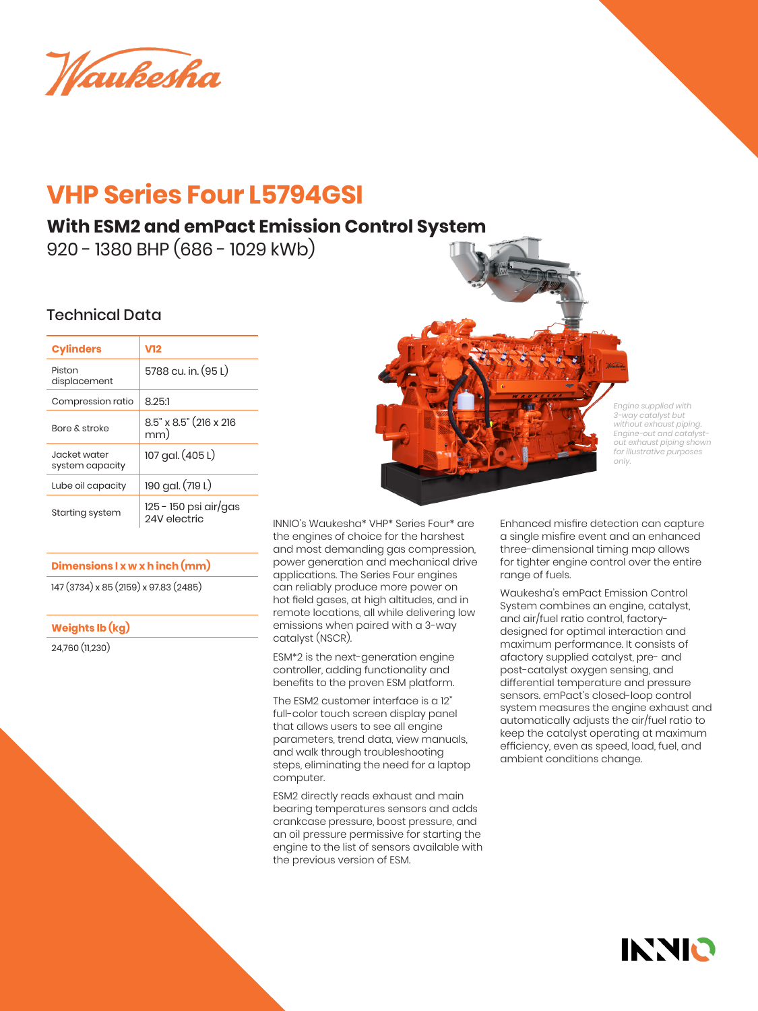Waukesha

# **VHP Series Four L5794GSI**

## **With ESM2 and emPact Emission Control System**

920 - 1380 BHP (686 - 1029 kWb)

### Technical Data

| <b>Cylinders</b>                | V12                                   |  |
|---------------------------------|---------------------------------------|--|
| Piston<br>displacement          | 5788 cu. in. (95 L)                   |  |
| Compression ratio               | 8.25:1                                |  |
| <b>Bore &amp; stroke</b>        | 8.5" x 8.5" (216 x 216<br>mm)         |  |
| Jacket water<br>system capacity | 107 gal. (405 L)                      |  |
| Lube oil capacity               | 190 gal. (719 L)                      |  |
| Starting system                 | 125 - 150 psi air/gas<br>24V electric |  |

#### **Dimensions l x w x h inch (mm)**

147 (3734) x 85 (2159) x 97.83 (2485)

#### **Weights lb (kg)**

24,760 (11,230)



*Engine supplied with 3-way catalyst but without exhaust piping. Engine-out and catalystout exhaust piping shown for illustrative purposes only.*

INNIO

INNIO's Waukesha\* VHP\* Series Four\* are the engines of choice for the harshest and most demanding gas compression, power generation and mechanical drive applications. The Series Four engines can reliably produce more power on hot field gases, at high altitudes, and in remote locations, all while delivering low emissions when paired with a 3-way catalyst (NSCR).

ESM\*2 is the next-generation engine controller, adding functionality and benefits to the proven ESM platform.

The ESM2 customer interface is a 12" full-color touch screen display panel that allows users to see all engine parameters, trend data, view manuals, and walk through troubleshooting steps, eliminating the need for a laptop computer.

ESM2 directly reads exhaust and main bearing temperatures sensors and adds crankcase pressure, boost pressure, and an oil pressure permissive for starting the engine to the list of sensors available with the previous version of ESM.

Enhanced misfire detection can capture a single misfire event and an enhanced three-dimensional timing map allows for tighter engine control over the entire range of fuels.

Waukesha's emPact Emission Control System combines an engine, catalyst, and air/fuel ratio control, factorydesigned for optimal interaction and maximum performance. It consists of afactory supplied catalyst, pre- and post-catalyst oxygen sensing, and differential temperature and pressure sensors. emPact's closed-loop control system measures the engine exhaust and automatically adjusts the air/fuel ratio to keep the catalyst operating at maximum efficiency, even as speed, load, fuel, and ambient conditions change.